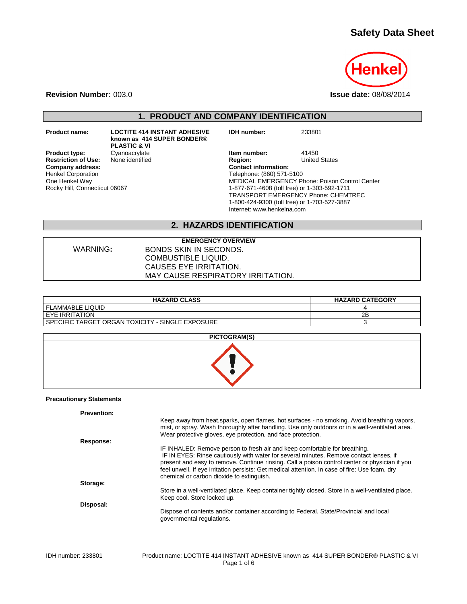# **Safety Data Sheet**



**Revision Number:** 003.0 **Issue date:** 08/08/2014

**1. PRODUCT AND COMPANY IDENTIFICATION**

**Restriction of Use:**<br>Company address:

Henkel Corporation One Henkel Way

Rocky Hill, Connecticut 06067

**Product name: LOCTITE 414 INSTANT ADHESIVE known as 414 SUPER BONDER® PLASTIC & VI**

**IDH number:** 233801

**Product type:** Cyanoacrylate **Item number:** 41450<br> **Restriction of Use:** None identified **Integral Product Product Product** Product Article States **Company address: Contact information:** Telephone: (860) 571-5100 MEDICAL EMERGENCY Phone: Poison Control Center 1-877-671-4608 (toll free) or 1-303-592-1711 TRANSPORT EMERGENCY Phone: CHEMTREC 1-800-424-9300 (toll free) or 1-703-527-3887 Internet: www.henkelna.com

## **2. HAZARDS IDENTIFICATION**

| WARNING: |  |
|----------|--|
|          |  |

**EMERGENCY OVERVIEW BONDS SKIN IN SECONDS.** COMBUSTIBLE LIQUID. CAUSES EYE IRRITATION. MAY CAUSE RESPIRATORY IRRITATION.

| <b>HAZARD CLASS</b>                                | <b>HAZARD CATEGORY</b> |
|----------------------------------------------------|------------------------|
| I FLAMMABLE LIQUID                                 |                        |
| I EYE IRRITATION                                   | 2Β                     |
| I SPECIFIC TARGET ORGAN TOXICITY - SINGLE EXPOSURE |                        |

| PICTOGRAM(S) |
|--------------|
|              |

#### **Precautionary Statements**

| <b>Prevention:</b> |                                                                                                                                                                                                                                                                                                                                                                                                                       |
|--------------------|-----------------------------------------------------------------------------------------------------------------------------------------------------------------------------------------------------------------------------------------------------------------------------------------------------------------------------------------------------------------------------------------------------------------------|
|                    | Keep away from heat, sparks, open flames, hot surfaces - no smoking. Avoid breathing vapors,<br>mist, or spray. Wash thoroughly after handling. Use only outdoors or in a well-ventilated area.<br>Wear protective gloves, eve protection, and face protection.                                                                                                                                                       |
| Response:          |                                                                                                                                                                                                                                                                                                                                                                                                                       |
|                    | IF INHALED: Remove person to fresh air and keep comfortable for breathing.<br>IF IN EYES: Rinse cautiously with water for several minutes. Remove contact lenses, if<br>present and easy to remove. Continue rinsing. Call a poison control center or physician if you<br>feel unwell. If eye irritation persists: Get medical attention. In case of fire: Use foam, dry<br>chemical or carbon dioxide to extinguish. |
| Storage:           |                                                                                                                                                                                                                                                                                                                                                                                                                       |
|                    | Store in a well-ventilated place. Keep container tightly closed. Store in a well-ventilated place.<br>Keep cool. Store locked up.                                                                                                                                                                                                                                                                                     |
| Disposal:          |                                                                                                                                                                                                                                                                                                                                                                                                                       |
|                    | Dispose of contents and/or container according to Federal, State/Provincial and local<br>governmental regulations.                                                                                                                                                                                                                                                                                                    |
|                    |                                                                                                                                                                                                                                                                                                                                                                                                                       |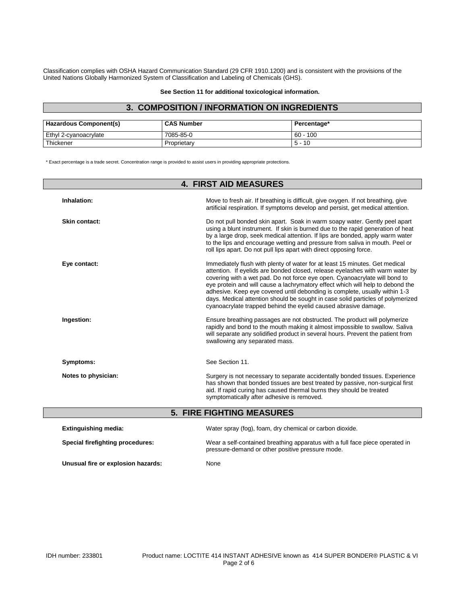Classification complies with OSHA Hazard Communication Standard (29 CFR 1910.1200) and is consistent with the provisions of the United Nations Globally Harmonized System of Classification and Labeling of Chemicals (GHS).

#### **See Section 11 for additional toxicological information.**

## **3. COMPOSITION / INFORMATION ON INGREDIENTS**

| Hazardous Component(s) | <b>CAS Number</b> | Percentage*       |
|------------------------|-------------------|-------------------|
| Ethyl 2-cyanoacrylate  | 7085-85-0         | $60 - 100$        |
| l Thickener            | Proprietary       | 10<br>$\mathbf b$ |

\* Exact percentage is a trade secret. Concentration range is provided to assist users in providing appropriate protections.

| <b>4. FIRST AID MEASURES</b>     |                                                                                                                                                                                                                                                                                                                                                                                                                                                                                                                                                                  |  |
|----------------------------------|------------------------------------------------------------------------------------------------------------------------------------------------------------------------------------------------------------------------------------------------------------------------------------------------------------------------------------------------------------------------------------------------------------------------------------------------------------------------------------------------------------------------------------------------------------------|--|
| Inhalation:                      | Move to fresh air. If breathing is difficult, give oxygen. If not breathing, give<br>artificial respiration. If symptoms develop and persist, get medical attention.                                                                                                                                                                                                                                                                                                                                                                                             |  |
| <b>Skin contact:</b>             | Do not pull bonded skin apart. Soak in warm soapy water. Gently peel apart<br>using a blunt instrument. If skin is burned due to the rapid generation of heat<br>by a large drop, seek medical attention. If lips are bonded, apply warm water<br>to the lips and encourage wetting and pressure from saliva in mouth. Peel or<br>roll lips apart. Do not pull lips apart with direct opposing force.                                                                                                                                                            |  |
| Eye contact:                     | Immediately flush with plenty of water for at least 15 minutes. Get medical<br>attention. If eyelids are bonded closed, release eyelashes with warm water by<br>covering with a wet pad. Do not force eye open. Cyanoacrylate will bond to<br>eye protein and will cause a lachrymatory effect which will help to debond the<br>adhesive. Keep eye covered until debonding is complete, usually within 1-3<br>days. Medical attention should be sought in case solid particles of polymerized<br>cyanoacrylate trapped behind the eyelid caused abrasive damage. |  |
| Ingestion:                       | Ensure breathing passages are not obstructed. The product will polymerize<br>rapidly and bond to the mouth making it almost impossible to swallow. Saliva<br>will separate any solidified product in several hours. Prevent the patient from<br>swallowing any separated mass.                                                                                                                                                                                                                                                                                   |  |
| Symptoms:                        | See Section 11.                                                                                                                                                                                                                                                                                                                                                                                                                                                                                                                                                  |  |
| Notes to physician:              | Surgery is not necessary to separate accidentally bonded tissues. Experience<br>has shown that bonded tissues are best treated by passive, non-surgical first<br>aid. If rapid curing has caused thermal burns they should be treated<br>symptomatically after adhesive is removed.                                                                                                                                                                                                                                                                              |  |
| <b>5. FIRE FIGHTING MEASURES</b> |                                                                                                                                                                                                                                                                                                                                                                                                                                                                                                                                                                  |  |
| <b>Extinguishing media:</b>      | Water spray (fog), foam, dry chemical or carbon dioxide.                                                                                                                                                                                                                                                                                                                                                                                                                                                                                                         |  |
| Special firefighting procedures: | Wear a self-contained breathing apparatus with a full face piece operated in<br>pressure-demand or other positive pressure mode.                                                                                                                                                                                                                                                                                                                                                                                                                                 |  |

**Unusual fire or explosion hazards:** None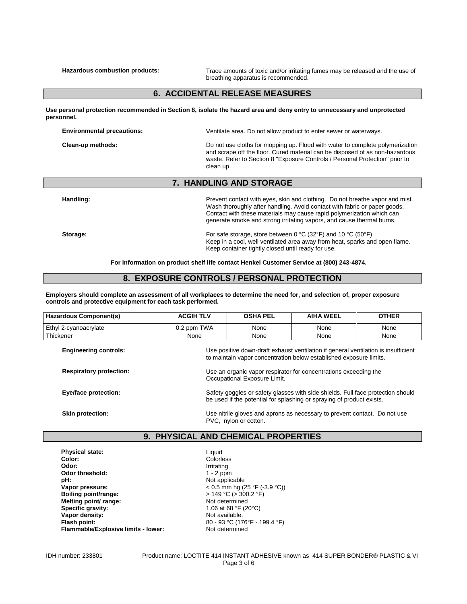**Hazardous combustion products:** Trace amounts of toxic and/or irritating fumes may be released and the use of breathing apparatus is recommended.

### **6. ACCIDENTAL RELEASE MEASURES**

**Use personal protection recommended in Section 8, isolate the hazard area and deny entry to unnecessary and unprotected personnel.**

| <b>Environmental precautions:</b> | Ventilate area. Do not allow product to enter sewer or waterways.                                                                                                                                                                                          |
|-----------------------------------|------------------------------------------------------------------------------------------------------------------------------------------------------------------------------------------------------------------------------------------------------------|
| Clean-up methods:                 | Do not use cloths for mopping up. Flood with water to complete polymerization<br>and scrape off the floor. Cured material can be disposed of as non-hazardous<br>waste. Refer to Section 8 "Exposure Controls / Personal Protection" prior to<br>clean up. |

### **7. HANDLING AND STORAGE**

Handling: **Handling: Prevent contact with eyes, skin and clothing.** Do not breathe vapor and mist. Wash thoroughly after handling. Avoid contact with fabric or paper goods. Contact with these materials may cause rapid polymerization which can generate smoke and strong irritating vapors, and cause thermal burns.

Keep in a cool, well ventilated area away from heat, sparks and open flame.

**Storage: Storage: For safe storage, store between 0 °C (32°F) and 10 °C (50°F)** 

**For information on product shelf life contact Henkel Customer Service at (800) 243-4874.**

Keep container tightly closed until ready for use.

## **8. EXPOSURE CONTROLS / PERSONAL PROTECTION**

**Employers should complete an assessment of all workplaces to determine the need for, and selection of, proper exposure controls and protective equipment for each task performed.**

| Hazardous Component(s)         | <b>ACGIH TLV</b>                                                                                                                                         | <b>OSHA PEL</b> | <b>AIHA WEEL</b> | <b>OTHER</b> |
|--------------------------------|----------------------------------------------------------------------------------------------------------------------------------------------------------|-----------------|------------------|--------------|
| Ethyl 2-cyanoacrylate          | 0.2 ppm TWA                                                                                                                                              | None            | None             | None         |
| Thickener                      | None                                                                                                                                                     | None            | None             | None         |
| <b>Engineering controls:</b>   | Use positive down-draft exhaust ventilation if general ventilation is insufficient<br>to maintain vapor concentration below established exposure limits. |                 |                  |              |
| <b>Respiratory protection:</b> | Use an organic vapor respirator for concentrations exceeding the<br>Occupational Exposure Limit.                                                         |                 |                  |              |
| Eye/face protection:           | Safety goggles or safety glasses with side shields. Full face protection should<br>be used if the potential for splashing or spraying of product exists. |                 |                  |              |
| <b>Skin protection:</b>        | Use nitrile gloves and aprons as necessary to prevent contact. Do not use<br>PVC, nylon or cotton.                                                       |                 |                  |              |

## **9. PHYSICAL AND CHEMICAL PROPERTIES**

**Liquid** 

| <b>Physical state:</b>              |
|-------------------------------------|
| Color:                              |
| Odor:                               |
| Odor threshold:                     |
| pH:                                 |
| Vapor pressure:                     |
| Boiling point/range:                |
| Melting point/ range:               |
| Specific gravity:                   |
| Vapor density:                      |
| Flash point:                        |
| Flammable/Explosive limits - lower: |

**Color:** Colorless **Odor:** Irritating **Odor threshold:** 1 - 2 ppm Not applicable **Vapor pressure:** < 0.5 mm hg (25 °F (-3.9 °C)) **Boiling point/range:** > 149 °C (> 300.2 °F) **Not determined Specific gravity:** 1.06 at 68 °F (20°C) **Not available. Flash point:** 80 - 93 °C (176°F - 199.4 °F) **Flammable/Explosive limits - lower:** Not determined

IDH number: 233801 Product name: LOCTITE 414 INSTANT ADHESIVE known as 414 SUPER BONDER® PLASTIC & VI Page 3 of 6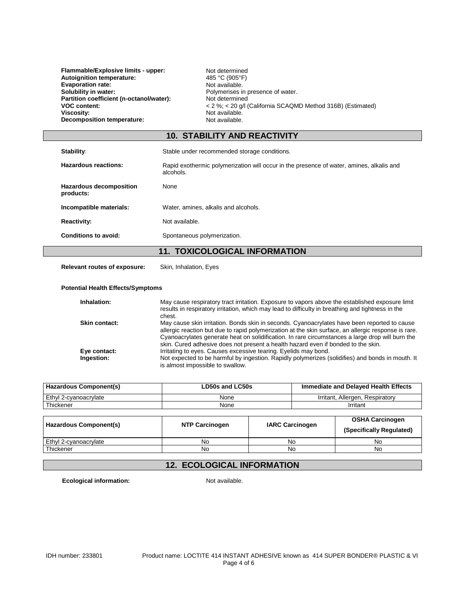**Flammable/Explosive limits - upper:** Not determined<br>Autoignition temperature: 485 °C (905°F) **Autoignition temperature:**  $\qquad \qquad \qquad 485 °C (905 °F)$ <br> **Evaporation rate:** Not available. **Evaporation rate:**<br>Solubility in water: Partition coefficient (n-octanol/water):<br>VOC content: **Viscosity:** Not available. **Decomposition temperature:** Not available.

Polymerises in presence of water.<br>Not determined **VOC content:**<br> **VOC content:**<br> **Viscosity:**<br>
Not available.<br>
Not available.

# **10. STABILITY AND REACTIVITY**

| Stability:                                  | Stable under recommended storage conditions.                                                          |  |
|---------------------------------------------|-------------------------------------------------------------------------------------------------------|--|
| Hazardous reactions:                        | Rapid exothermic polymerization will occur in the presence of water, amines, alkalis and<br>alcohols. |  |
| <b>Hazardous decomposition</b><br>products: | None                                                                                                  |  |
| Incompatible materials:                     | Water, amines, alkalis and alcohols.                                                                  |  |
| <b>Reactivity:</b>                          | Not available.                                                                                        |  |
| <b>Conditions to avoid:</b>                 | Spontaneous polymerization.                                                                           |  |
| <b>11. TOXICOLOGICAL INFORMATION</b>        |                                                                                                       |  |

**Relevant routes of exposure:** Skin, Inhalation, Eyes

#### **Potential Health Effects/Symptoms**

| Inhalation:   | May cause respiratory tract irritation. Exposure to vapors above the established exposure limit<br>results in respiratory irritation, which may lead to difficulty in breathing and tightness in the<br>chest.                                                                                                                                                                                |
|---------------|-----------------------------------------------------------------------------------------------------------------------------------------------------------------------------------------------------------------------------------------------------------------------------------------------------------------------------------------------------------------------------------------------|
| Skin contact: | May cause skin irritation. Bonds skin in seconds. Cyanoacrylates have been reported to cause<br>allergic reaction but due to rapid polymerization at the skin surface, an allergic response is rare.<br>Cyanoacrylates generate heat on solidification. In rare circumstances a large drop will burn the<br>skin. Cured adhesive does not present a health hazard even if bonded to the skin. |
| Eye contact:  | Irritating to eyes. Causes excessive tearing. Eyelids may bond.                                                                                                                                                                                                                                                                                                                               |
| Ingestion:    | Not expected to be harmful by ingestion. Rapidly polymerizes (solidifies) and bonds in mouth. It<br>is almost impossible to swallow.                                                                                                                                                                                                                                                          |

| <b>Hazardous Component(s)</b> | LD50s and LC50s | Immediate and Delayed Health Effects |
|-------------------------------|-----------------|--------------------------------------|
| Ethyl 2-cvanoacrylate         | None            | Irritant, Allergen, Respiratory      |
| Thickener                     | None            | Irritant                             |

| Hazardous Component(s) | <b>NTP Carcinogen</b> | <b>IARC Carcinogen</b> | <b>OSHA Carcinogen</b><br>(Specifically Regulated) |
|------------------------|-----------------------|------------------------|----------------------------------------------------|
| Ethyl 2-cyanoacrylate  | No.                   | No                     | No                                                 |
| Thickener              | No                    | No                     | No                                                 |

# **12. ECOLOGICAL INFORMATION**

**Ecological information:** Not available.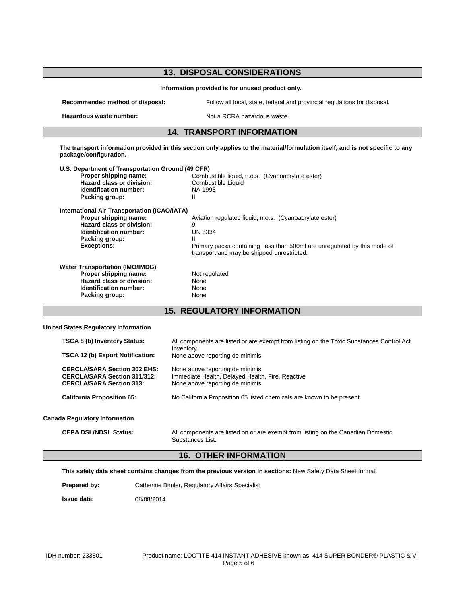| <b>13. DISPOSAL CONSIDERATIONS</b><br>Information provided is for unused product only.                                                                                      |                                                                                                                                                                                                               |  |  |
|-----------------------------------------------------------------------------------------------------------------------------------------------------------------------------|---------------------------------------------------------------------------------------------------------------------------------------------------------------------------------------------------------------|--|--|
|                                                                                                                                                                             |                                                                                                                                                                                                               |  |  |
| Hazardous waste number:                                                                                                                                                     | Not a RCRA hazardous waste.                                                                                                                                                                                   |  |  |
| <b>14. TRANSPORT INFORMATION</b>                                                                                                                                            |                                                                                                                                                                                                               |  |  |
| package/configuration.                                                                                                                                                      | The transport information provided in this section only applies to the material/formulation itself, and is not specific to any                                                                                |  |  |
| U.S. Department of Transportation Ground (49 CFR)<br>Proper shipping name:<br><b>Hazard class or division:</b><br>Identification number:<br>Packing group:                  | Combustible liquid, n.o.s. (Cyanoacrylate ester)<br>Combustible Liquid<br>NA 1993<br>Ш                                                                                                                        |  |  |
| <b>International Air Transportation (ICAO/IATA)</b><br>Proper shipping name:<br>Hazard class or division:<br>Identification number:<br>Packing group:<br><b>Exceptions:</b> | Aviation regulated liquid, n.o.s. (Cyanoacrylate ester)<br>9<br><b>UN 3334</b><br>Ш<br>Primary packs containing less than 500ml are unregulated by this mode of<br>transport and may be shipped unrestricted. |  |  |
| <b>Water Transportation (IMO/IMDG)</b><br>Proper shipping name:<br>Hazard class or division:<br>Identification number:<br>Packing group:                                    | Not regulated<br>None<br>None<br>None                                                                                                                                                                         |  |  |
|                                                                                                                                                                             | <b>15. REGULATORY INFORMATION</b>                                                                                                                                                                             |  |  |
| <b>United States Regulatory Information</b>                                                                                                                                 |                                                                                                                                                                                                               |  |  |
| TSCA 8 (b) Inventory Status:<br>TSCA 12 (b) Export Notification:                                                                                                            | All components are listed or are exempt from listing on the Toxic Substances Control Act<br>Inventory.<br>None above reporting de minimis                                                                     |  |  |

| <b>CERCLA/SARA Section 302 EHS:</b> | None above reporting de minimis                                        |
|-------------------------------------|------------------------------------------------------------------------|
| <b>CERCLA/SARA Section 311/312:</b> | Immediate Health, Delayed Health, Fire, Reactive                       |
| <b>CERCLA/SARA Section 313:</b>     | None above reporting de minimis                                        |
| <b>California Proposition 65:</b>   | No California Proposition 65 listed chemicals are known to be present. |

#### **Canada Regulatory Information**

**CEPA DSL/NDSL Status:** All components are listed on or are exempt from listing on the Canadian Domestic Substances List.

# **16. OTHER INFORMATION**

**This safety data sheet contains changes from the previous version in sections:** New Safety Data Sheet format.

Prepared by: Catherine Bimler, Regulatory Affairs Specialist

**Issue date:** 08/08/2014